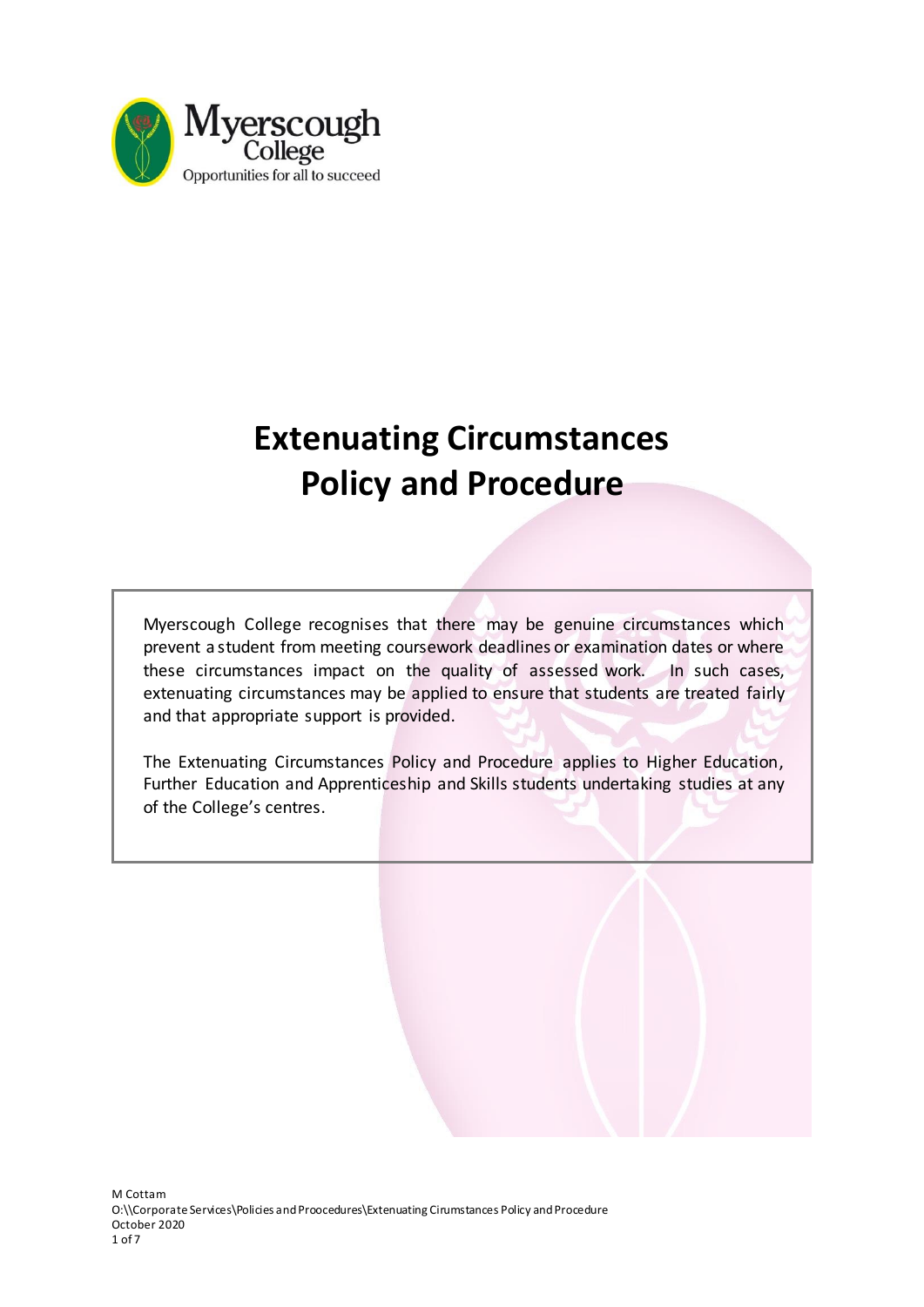

# **Extenuating Circumstances Policy and Procedure**

Myerscough College recognises that there may be genuine circumstances which prevent a student from meeting coursework deadlines or examination dates or where these circumstances impact on the quality of assessed work. In such cases, extenuating circumstances may be applied to ensure that students are treated fairly and that appropriate support is provided.

The Extenuating Circumstances Policy and Procedure applies to Higher Education, Further Education and Apprenticeship and Skills students undertaking studies at any of the College's centres.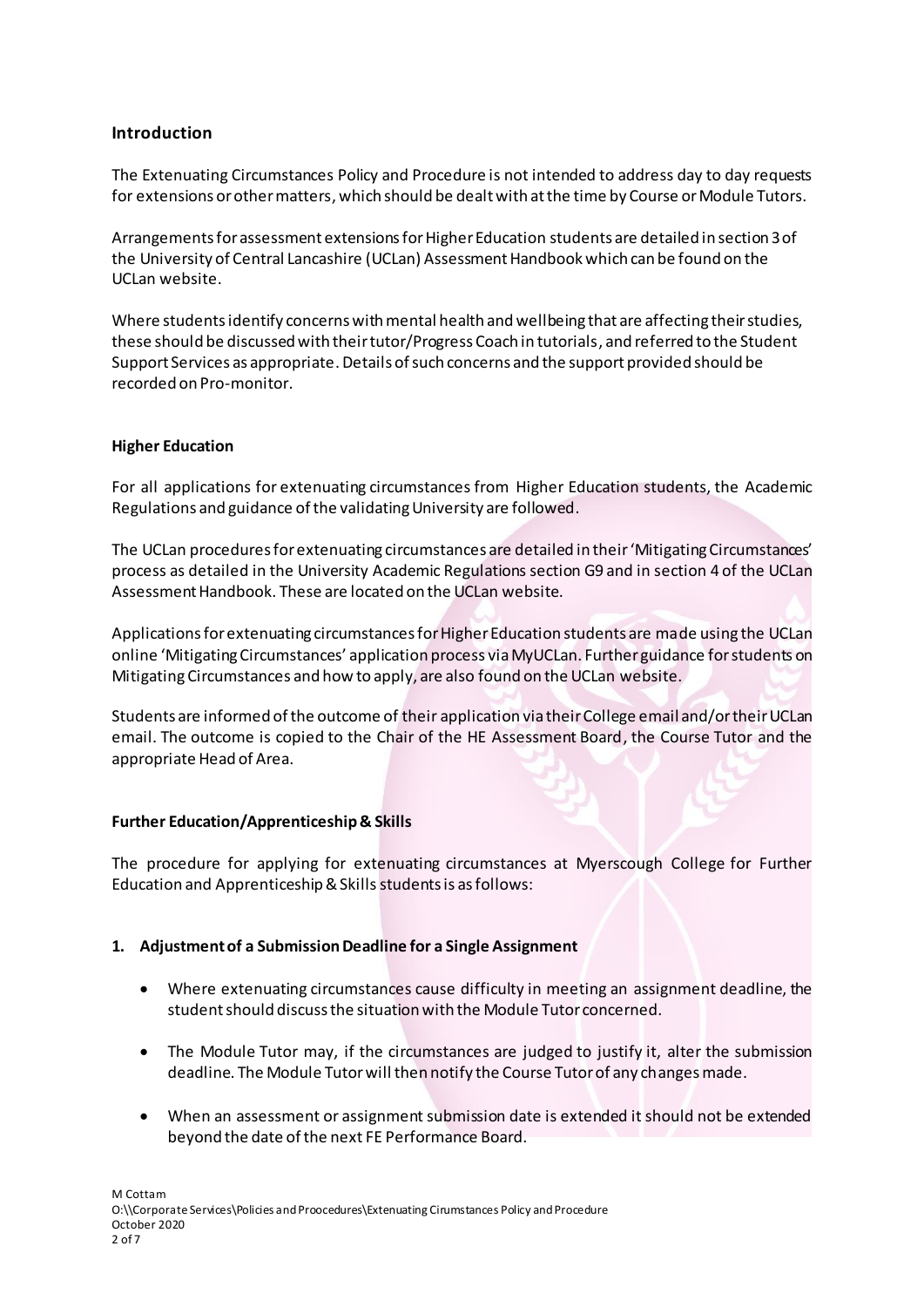# **Introduction**

The Extenuating Circumstances Policy and Procedure is not intended to address day to day requests for extensions or other matters, which should be dealt with at the time by Course or Module Tutors.

Arrangements for assessment extensions for Higher Education students are detailed in section 3 of the University of Central Lancashire (UCLan) Assessment Handbook which can be found on the UCLan website.

Where students identify concerns with mental health and wellbeing that are affecting their studies, these should be discussed with their tutor/Progress Coach in tutorials, and referred to the Student Support Services as appropriate. Details of such concerns and the support provided should be recorded on Pro-monitor.

## **Higher Education**

For all applications for extenuating circumstances from Higher Education students, the Academic Regulations and guidance of the validating University are followed.

The UCLan procedures for extenuating circumstances are detailed in their 'Mitigating Circumstances' process as detailed in the University Academic Regulations section G9 and in section 4 of the UCLan Assessment Handbook. These are located on the UCLan website.

Applications for extenuating circumstances for Higher Education students are made using the UCLan online 'Mitigating Circumstances' application process via MyUCLan. Further guidance for students on Mitigating Circumstances and how to apply, are also found on the UCLan website.

Students are informed of the outcome of their application via their College email and/or their UCLan email. The outcome is copied to the Chair of the HE Assessment Board, the Course Tutor and the appropriate Head of Area.

## **Further Education/Apprenticeship & Skills**

The procedure for applying for extenuating circumstances at Myerscough College for Further Education and Apprenticeship & Skills students is as follows:

## **1. Adjustment of a Submission Deadline for a Single Assignment**

- Where extenuating circumstances cause difficulty in meeting an assignment deadline, the student should discuss the situation with the Module Tutor concerned.
- The Module Tutor may, if the circumstances are judged to justify it, alter the submission deadline. The Module Tutor will then notify the Course Tutor of any changes made.
- When an assessment or assignment submission date is extended it should not be extended beyond the date of the next FE Performance Board.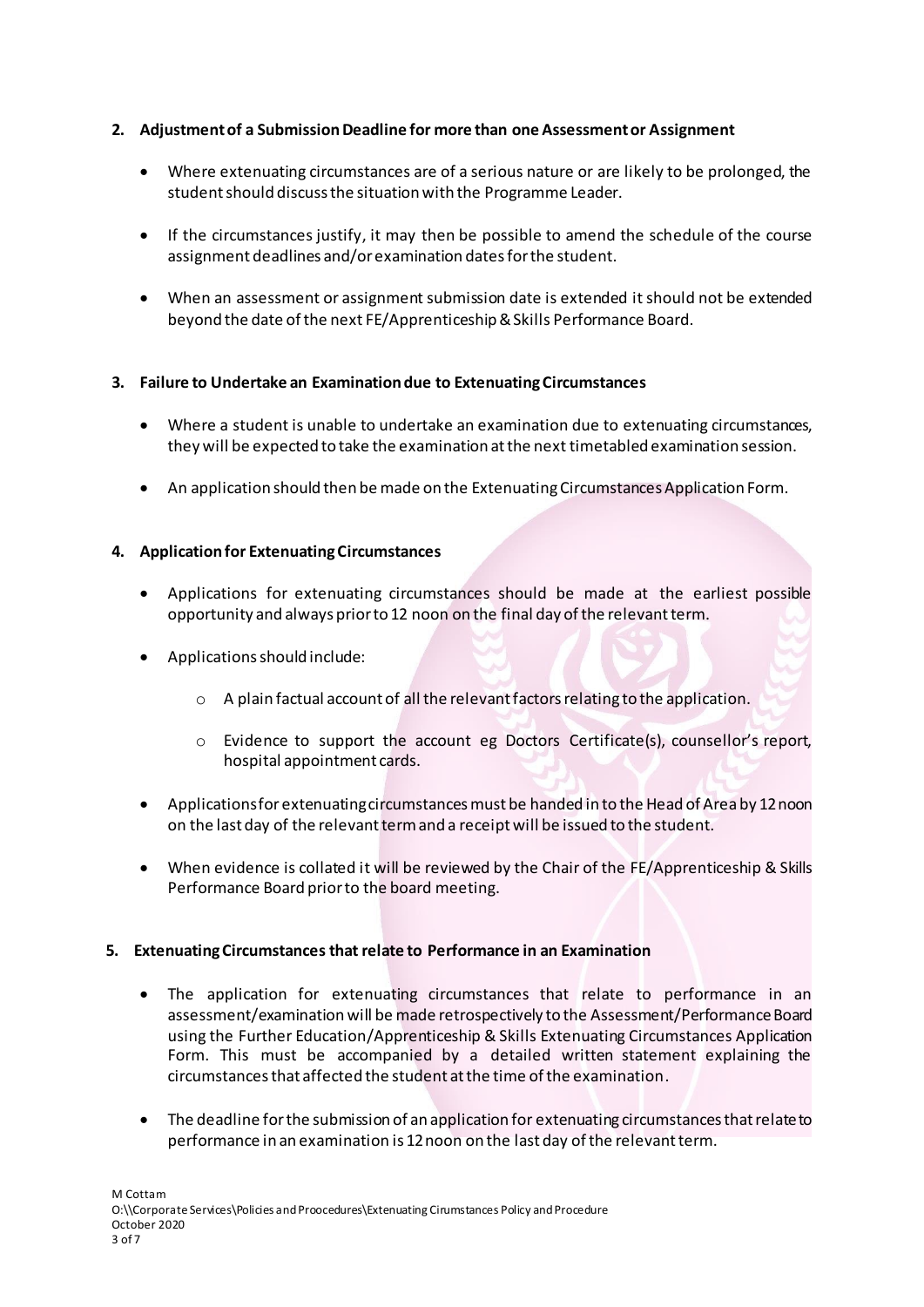# **2. Adjustment of a Submission Deadline for more than one Assessment or Assignment**

- Where extenuating circumstances are of a serious nature or are likely to be prolonged, the student should discuss the situation with the Programme Leader.
- If the circumstances justify, it may then be possible to amend the schedule of the course assignment deadlines and/or examination dates for the student.
- When an assessment or assignment submission date is extended it should not be extended beyond the date of the next FE/Apprenticeship & Skills Performance Board.

# **3. Failure to Undertake an Examination due to Extenuating Circumstances**

- Where a student is unable to undertake an examination due to extenuating circumstances, they will be expected to take the examination at the next timetabled examination session.
- An application should then be made on the Extenuating Circumstances Application Form.

# **4. Application for Extenuating Circumstances**

- Applications for extenuating circumstances should be made at the earliest possible opportunity and always prior to 12 noon on the final day of the relevant term.
- Applications should include:
	- o A plain factual account of all the relevant factors relating to the application.
	- o Evidence to support the account eg Doctors Certificate(s), counsellor's report, hospital appointment cards.
- Applications for extenuating circumstances must be handed in to the Head of Area by 12 noon on the last day of the relevant term and a receipt will be issued to the student.
- When evidence is collated it will be reviewed by the Chair of the FE/Apprenticeship & Skills Performance Board prior to the board meeting.

## **5. Extenuating Circumstances that relate to Performance in an Examination**

- The application for extenuating circumstances that relate to performance in an assessment/examination will be made retrospectively to the Assessment/PerformanceBoard using the Further Education/Apprenticeship & Skills Extenuating Circumstances Application Form. This must be accompanied by a detailed written statement explaining the circumstances that affected the student at the time of the examination.
- The deadline for the submission of an application for extenuating circumstances that relate to performance in an examination is 12 noon on the last day of the relevant term.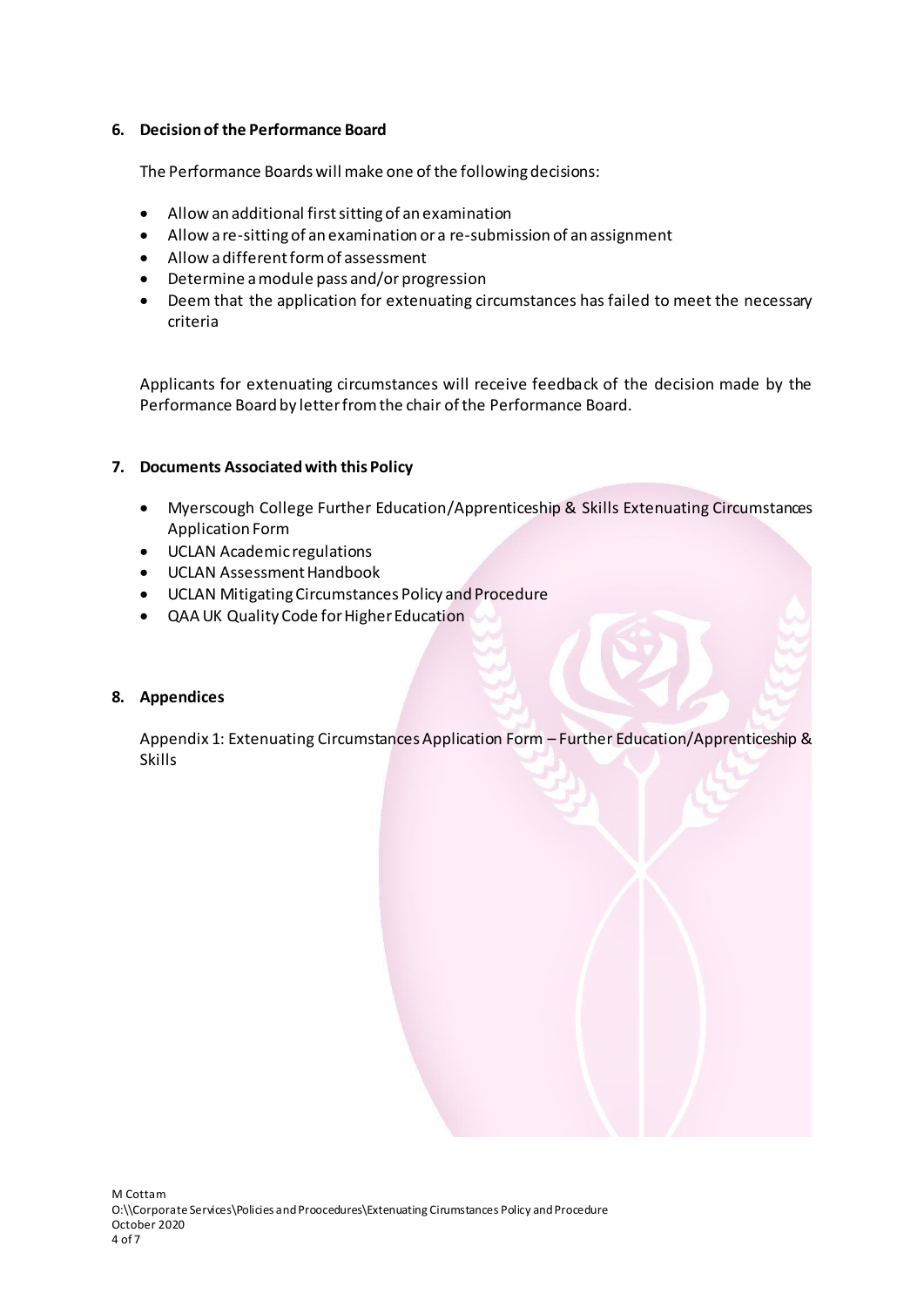## **6. Decision of the Performance Board**

The Performance Boards will make one of the following decisions:

- Allow an additional first sitting of an examination
- Allow a re-sitting of an examination or a re-submission of an assignment
- Allow a different form of assessment
- Determine a module pass and/or progression
- Deem that the application for extenuating circumstances has failed to meet the necessary criteria

Applicants for extenuating circumstances will receive feedback of the decision made by the Performance Board by letter from the chair of the Performance Board.

## **7. Documents Associated with this Policy**

- Myerscough College Further Education/Apprenticeship & Skills Extenuating Circumstances Application Form
- UCLAN Academic regulations
- UCLAN Assessment Handbook
- UCLAN Mitigating Circumstances Policy and Procedure
- QAA UK Quality Code for Higher Education

## **8. Appendices**

Appendix 1: Extenuating Circumstances Application Form – Further Education/Apprenticeship & Skills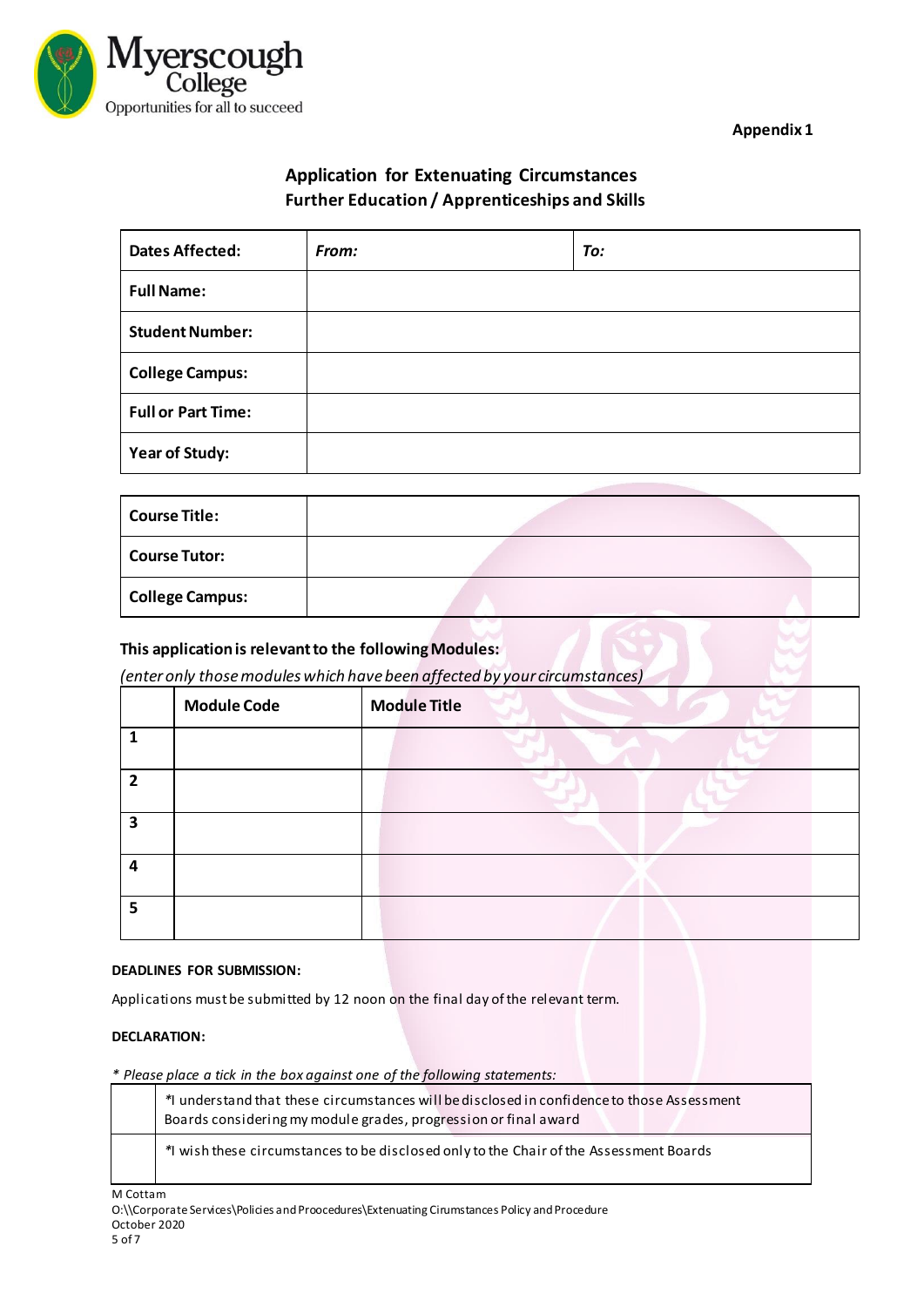

**Appendix 1**

# **Application for Extenuating Circumstances Further Education / Apprenticeships and Skills**

| <b>Dates Affected:</b>    | From: | To: |
|---------------------------|-------|-----|
| <b>Full Name:</b>         |       |     |
| <b>Student Number:</b>    |       |     |
| <b>College Campus:</b>    |       |     |
| <b>Full or Part Time:</b> |       |     |
| Year of Study:            |       |     |

| <b>Course Title:</b>   |  |
|------------------------|--|
| <b>Course Tutor:</b>   |  |
| <b>College Campus:</b> |  |

# **This application is relevant to the following Modules:**

*(enter only those modules which have been affected by your circumstances)*

|                         | <b>Module Code</b> | <b>Module Title</b> |
|-------------------------|--------------------|---------------------|
|                         |                    |                     |
| $\mathbf{z}$            |                    |                     |
| $\overline{\mathbf{z}}$ |                    |                     |
| Δ                       |                    |                     |
| Е                       |                    |                     |

## **DEADLINES FOR SUBMISSION:**

Applications must be submitted by 12 noon on the final day of the relevant term.

## **DECLARATION:**

*\* Please place a tick in the box against one of the following statements:*

| * understand that these circumstances will be disclosed in confidence to those Assessment<br>Boards considering my module grades, progression or final award |
|--------------------------------------------------------------------------------------------------------------------------------------------------------------|
| * wish these circumstances to be disclosed only to the Chair of the Assessment Boards                                                                        |

M Cottam

O:\\Corporate Services\Policies and Proocedures\Extenuating Cirumstances Policy and Procedure October 2020

5 of 7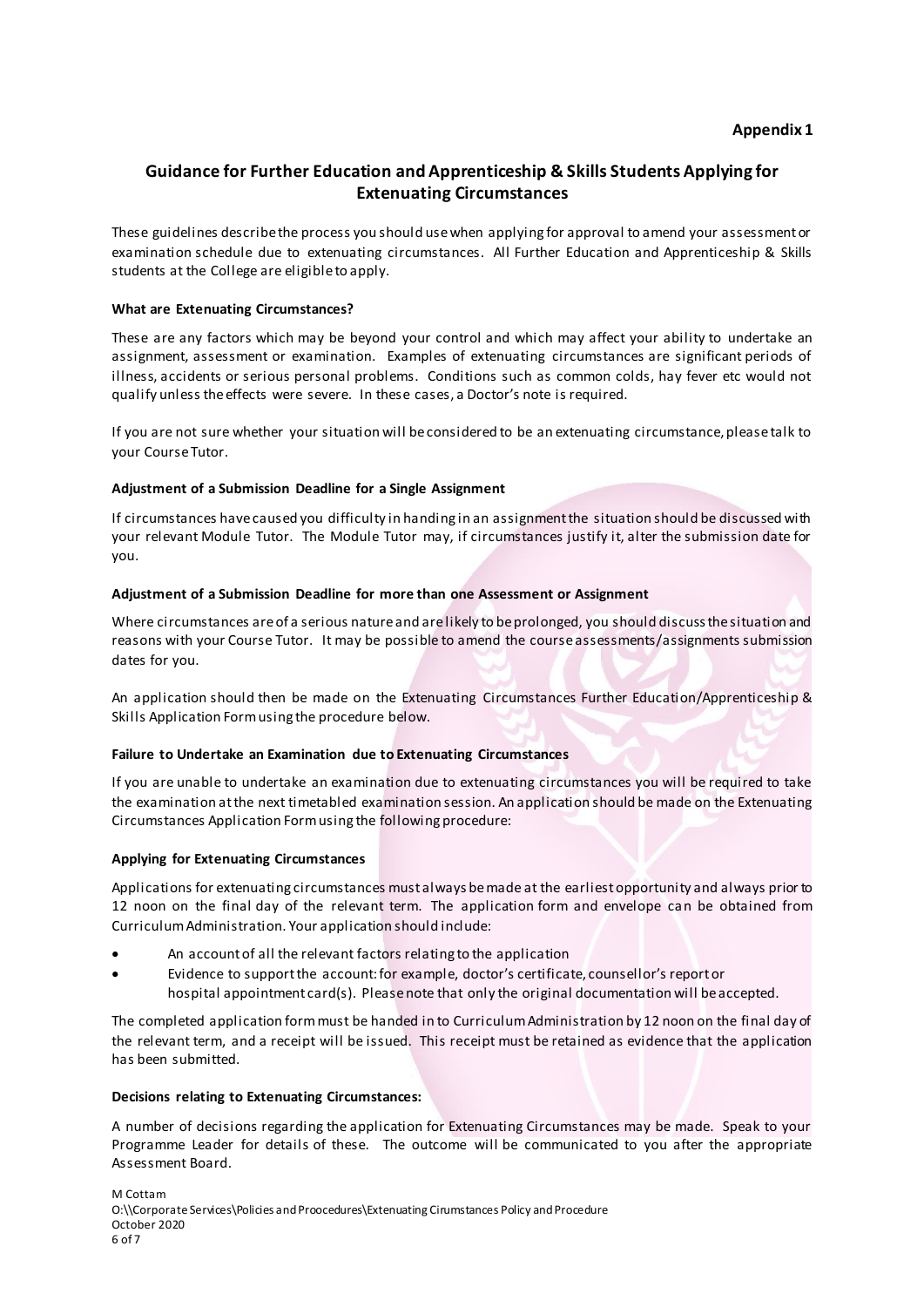# **Guidance for Further Education and Apprenticeship & Skills Students Applying for Extenuating Circumstances**

These guidelines describe the process you should use when applying for approval to amend your assessment or examination schedule due to extenuating circumstances. All Further Education and Apprenticeship & Skills students at the College are eligible to apply.

## **What are Extenuating Circumstances?**

These are any factors which may be beyond your control and which may affect your ability to undertake an assignment, assessment or examination. Examples of extenuating circumstances are significant periods of illness, accidents or serious personal problems. Conditions such as common colds, hay fever etc would not qualify unless the effects were severe. In these cases, a Doctor's note is required.

If you are not sure whether your situation will be considered to be an extenuating circumstance, please talk to your Course Tutor.

#### **Adjustment of a Submission Deadline for a Single Assignment**

If circumstances have caused you difficulty in handing in an assignment the situation should be discussed with your relevant Module Tutor. The Module Tutor may, if circumstances justify it, alter the submission date for you.

#### **Adjustment of a Submission Deadline for more than one Assessment or Assignment**

Where circumstances are of a serious nature and are likely to be prolonged, you should discuss the situation and reasons with your Course Tutor. It may be possible to amend the course assessments/assignments submission dates for you.

An application should then be made on the Extenuating Circumstances Further Education/Apprenticeship & Skills Application Form using the procedure below.

#### **Failure to Undertake an Examination due to Extenuating Circumstances**

If you are unable to undertake an examination due to extenuating circumstances you will be required to take the examination at the next timetabled examination session. An application should be made on the Extenuating Circumstances Application Form using the following procedure:

#### **Applying for Extenuating Circumstances**

Applications for extenuating circumstances must always be made at the earliest opportunity and always prior to 12 noon on the final day of the relevant term. The application form and envelope can be obtained from Curriculum Administration. Your application should include:

- An account of all the relevant factors relating to the application
- Evidence to support the account: for example, doctor's certificate, counsellor's report or hospital appointment card(s). Please note that only the original documentation will be accepted.

The completed application form must be handed in to Curriculum Administration by 12 noon on the final day of the relevant term, and a receipt will be issued. This receipt must be retained as evidence that the application has been submitted.

#### **Decisions relating to Extenuating Circumstances:**

A number of decisions regarding the application for Extenuating Circumstances may be made. Speak to your Programme Leader for details of these. The outcome will be communicated to you after the appropriate Assessment Board.